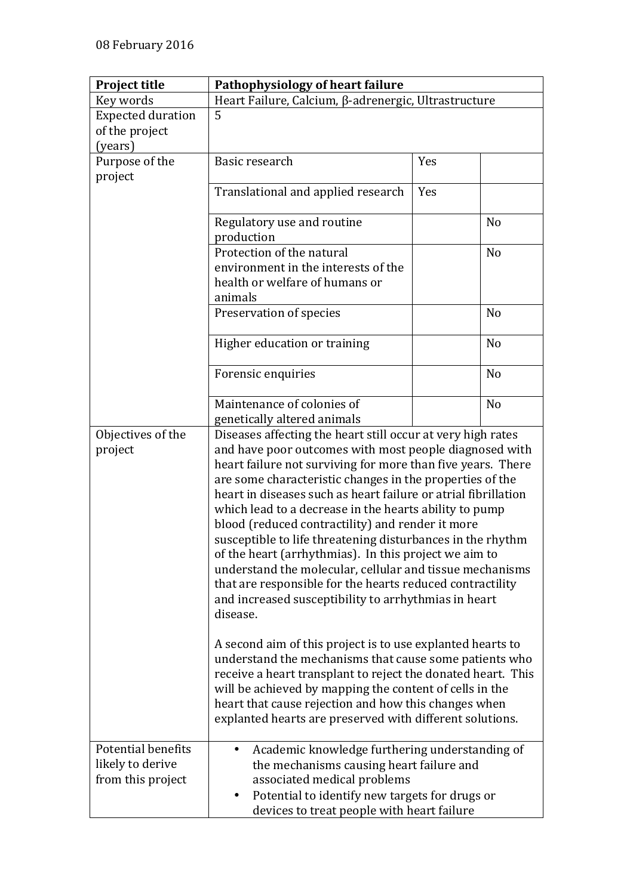| <b>Project title</b>     | Pathophysiology of heart failure                                                                                      |     |                |  |
|--------------------------|-----------------------------------------------------------------------------------------------------------------------|-----|----------------|--|
| Key words                | Heart Failure, Calcium, β-adrenergic, Ultrastructure                                                                  |     |                |  |
| <b>Expected duration</b> | 5                                                                                                                     |     |                |  |
| of the project           |                                                                                                                       |     |                |  |
| (years)                  |                                                                                                                       |     |                |  |
| Purpose of the           | Basic research                                                                                                        | Yes |                |  |
| project                  |                                                                                                                       |     |                |  |
|                          | Translational and applied research                                                                                    | Yes |                |  |
|                          |                                                                                                                       |     |                |  |
|                          | Regulatory use and routine                                                                                            |     | N <sub>o</sub> |  |
|                          | production                                                                                                            |     |                |  |
|                          | Protection of the natural                                                                                             |     | N <sub>o</sub> |  |
|                          | environment in the interests of the                                                                                   |     |                |  |
|                          | health or welfare of humans or                                                                                        |     |                |  |
|                          | animals                                                                                                               |     |                |  |
|                          | Preservation of species                                                                                               |     | N <sub>o</sub> |  |
|                          |                                                                                                                       |     |                |  |
|                          | Higher education or training                                                                                          |     | N <sub>o</sub> |  |
|                          |                                                                                                                       |     |                |  |
|                          | Forensic enquiries                                                                                                    |     | N <sub>o</sub> |  |
|                          |                                                                                                                       |     |                |  |
|                          | Maintenance of colonies of                                                                                            |     | N <sub>o</sub> |  |
|                          | genetically altered animals                                                                                           |     |                |  |
| Objectives of the        | Diseases affecting the heart still occur at very high rates<br>and have poor outcomes with most people diagnosed with |     |                |  |
| project                  |                                                                                                                       |     |                |  |
|                          | heart failure not surviving for more than five years. There                                                           |     |                |  |
|                          | are some characteristic changes in the properties of the                                                              |     |                |  |
|                          | heart in diseases such as heart failure or atrial fibrillation                                                        |     |                |  |
|                          | which lead to a decrease in the hearts ability to pump                                                                |     |                |  |
|                          | blood (reduced contractility) and render it more                                                                      |     |                |  |
|                          | susceptible to life threatening disturbances in the rhythm                                                            |     |                |  |
|                          | of the heart (arrhythmias). In this project we aim to                                                                 |     |                |  |
|                          | understand the molecular, cellular and tissue mechanisms                                                              |     |                |  |
|                          | that are responsible for the hearts reduced contractility                                                             |     |                |  |
|                          | and increased susceptibility to arrhythmias in heart                                                                  |     |                |  |
|                          | disease.                                                                                                              |     |                |  |
|                          |                                                                                                                       |     |                |  |
|                          | A second aim of this project is to use explanted hearts to                                                            |     |                |  |
|                          | understand the mechanisms that cause some patients who                                                                |     |                |  |
|                          | receive a heart transplant to reject the donated heart. This                                                          |     |                |  |
|                          | will be achieved by mapping the content of cells in the                                                               |     |                |  |
|                          | heart that cause rejection and how this changes when                                                                  |     |                |  |
|                          | explanted hearts are preserved with different solutions.                                                              |     |                |  |
|                          |                                                                                                                       |     |                |  |
| Potential benefits       | Academic knowledge furthering understanding of<br>$\bullet$                                                           |     |                |  |
| likely to derive         | the mechanisms causing heart failure and                                                                              |     |                |  |
| from this project        | associated medical problems                                                                                           |     |                |  |
|                          | Potential to identify new targets for drugs or<br>$\bullet$                                                           |     |                |  |
|                          | devices to treat people with heart failure                                                                            |     |                |  |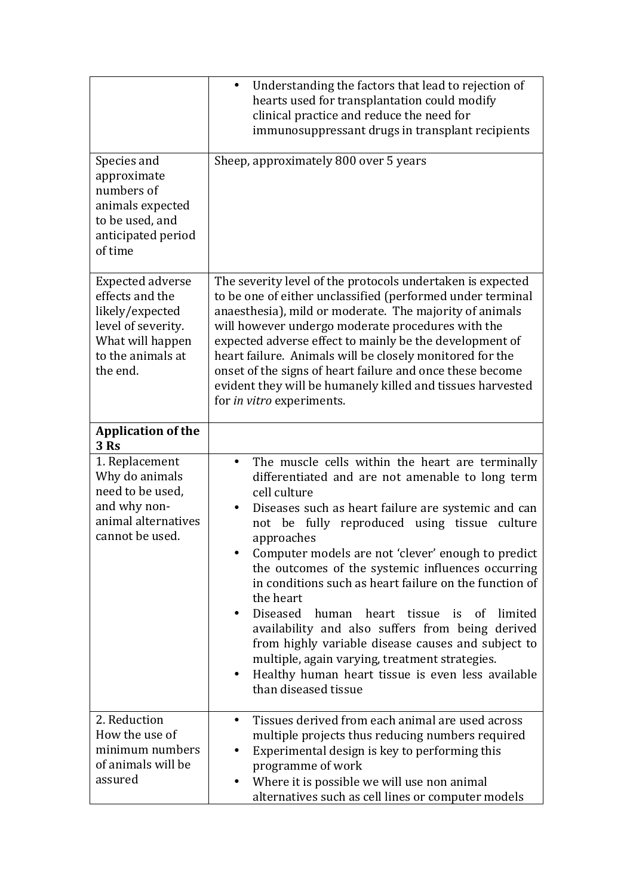|                                                                                                                                          | Understanding the factors that lead to rejection of<br>$\bullet$<br>hearts used for transplantation could modify<br>clinical practice and reduce the need for<br>immunosuppressant drugs in transplant recipients                                                                                                                                                                                                                                                                                                                                                                                                                                                                                                                                          |  |
|------------------------------------------------------------------------------------------------------------------------------------------|------------------------------------------------------------------------------------------------------------------------------------------------------------------------------------------------------------------------------------------------------------------------------------------------------------------------------------------------------------------------------------------------------------------------------------------------------------------------------------------------------------------------------------------------------------------------------------------------------------------------------------------------------------------------------------------------------------------------------------------------------------|--|
| Species and<br>approximate<br>numbers of<br>animals expected<br>to be used, and<br>anticipated period<br>of time                         | Sheep, approximately 800 over 5 years                                                                                                                                                                                                                                                                                                                                                                                                                                                                                                                                                                                                                                                                                                                      |  |
| <b>Expected adverse</b><br>effects and the<br>likely/expected<br>level of severity.<br>What will happen<br>to the animals at<br>the end. | The severity level of the protocols undertaken is expected<br>to be one of either unclassified (performed under terminal<br>anaesthesia), mild or moderate. The majority of animals<br>will however undergo moderate procedures with the<br>expected adverse effect to mainly be the development of<br>heart failure. Animals will be closely monitored for the<br>onset of the signs of heart failure and once these become<br>evident they will be humanely killed and tissues harvested<br>for in vitro experiments.                                                                                                                                                                                                                                    |  |
| <b>Application of the</b><br>3 Rs                                                                                                        |                                                                                                                                                                                                                                                                                                                                                                                                                                                                                                                                                                                                                                                                                                                                                            |  |
| 1. Replacement<br>Why do animals<br>need to be used.<br>and why non-<br>animal alternatives<br>cannot be used.                           | The muscle cells within the heart are terminally<br>$\bullet$<br>differentiated and are not amenable to long term<br>cell culture<br>Diseases such as heart failure are systemic and can<br>٠<br>not be fully reproduced using tissue<br>culture<br>approaches<br>Computer models are not 'clever' enough to predict<br>the outcomes of the systemic influences occurring<br>in conditions such as heart failure on the function of<br>the heart<br>Diseased<br>human<br>heart tissue<br>is<br>of<br>limited<br>availability and also suffers from being derived<br>from highly variable disease causes and subject to<br>multiple, again varying, treatment strategies.<br>Healthy human heart tissue is even less available<br>٠<br>than diseased tissue |  |
| 2. Reduction<br>How the use of<br>minimum numbers<br>of animals will be<br>assured                                                       | Tissues derived from each animal are used across<br>٠<br>multiple projects thus reducing numbers required<br>Experimental design is key to performing this<br>programme of work<br>Where it is possible we will use non animal<br>alternatives such as cell lines or computer models                                                                                                                                                                                                                                                                                                                                                                                                                                                                       |  |